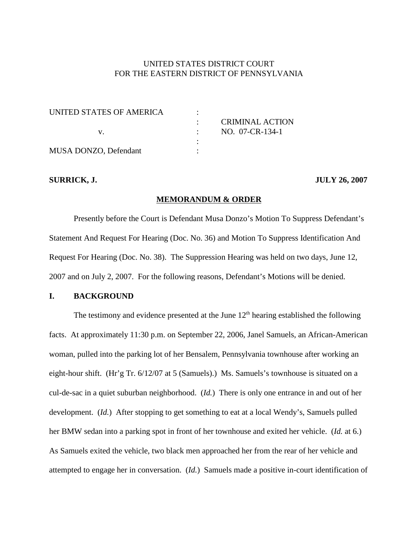# UNITED STATES DISTRICT COURT FOR THE EASTERN DISTRICT OF PENNSYLVANIA

| UNITED STATES OF AMERICA |                        |
|--------------------------|------------------------|
|                          | <b>CRIMINAL ACTION</b> |
|                          | NO. 07-CR-134-1        |
|                          |                        |
| MUSA DONZO, Defendant    |                        |

### **SURRICK, J. JULY 26, 2007**

#### **MEMORANDUM & ORDER**

Presently before the Court is Defendant Musa Donzo's Motion To Suppress Defendant's Statement And Request For Hearing (Doc. No. 36) and Motion To Suppress Identification And Request For Hearing (Doc. No. 38). The Suppression Hearing was held on two days, June 12, 2007 and on July 2, 2007. For the following reasons, Defendant's Motions will be denied.

#### **I. BACKGROUND**

The testimony and evidence presented at the June  $12<sup>th</sup>$  hearing established the following facts. At approximately 11:30 p.m. on September 22, 2006, Janel Samuels, an African-American woman, pulled into the parking lot of her Bensalem, Pennsylvania townhouse after working an eight-hour shift. (Hr'g Tr. 6/12/07 at 5 (Samuels).) Ms. Samuels's townhouse is situated on a cul-de-sac in a quiet suburban neighborhood. (*Id.*) There is only one entrance in and out of her development. (*Id.*) After stopping to get something to eat at a local Wendy's, Samuels pulled her BMW sedan into a parking spot in front of her townhouse and exited her vehicle. (*Id.* at 6.) As Samuels exited the vehicle, two black men approached her from the rear of her vehicle and attempted to engage her in conversation. (*Id.*) Samuels made a positive in-court identification of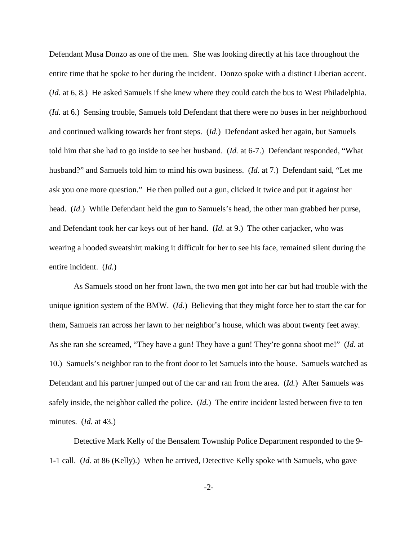Defendant Musa Donzo as one of the men. She was looking directly at his face throughout the entire time that he spoke to her during the incident. Donzo spoke with a distinct Liberian accent. (*Id.* at 6, 8.) He asked Samuels if she knew where they could catch the bus to West Philadelphia. (*Id.* at 6.) Sensing trouble, Samuels told Defendant that there were no buses in her neighborhood and continued walking towards her front steps. (*Id.*) Defendant asked her again, but Samuels told him that she had to go inside to see her husband. (*Id.* at 6-7.) Defendant responded, "What husband?" and Samuels told him to mind his own business. (*Id.* at 7.) Defendant said, "Let me ask you one more question." He then pulled out a gun, clicked it twice and put it against her head. (*Id.*) While Defendant held the gun to Samuels's head, the other man grabbed her purse, and Defendant took her car keys out of her hand. (*Id.* at 9.) The other carjacker, who was wearing a hooded sweatshirt making it difficult for her to see his face, remained silent during the entire incident. (*Id.*)

As Samuels stood on her front lawn, the two men got into her car but had trouble with the unique ignition system of the BMW. (*Id.*) Believing that they might force her to start the car for them, Samuels ran across her lawn to her neighbor's house, which was about twenty feet away. As she ran she screamed, "They have a gun! They have a gun! They're gonna shoot me!" (*Id.* at 10.) Samuels's neighbor ran to the front door to let Samuels into the house. Samuels watched as Defendant and his partner jumped out of the car and ran from the area. (*Id.*) After Samuels was safely inside, the neighbor called the police. (*Id.*) The entire incident lasted between five to ten minutes. (*Id.* at 43.)

Detective Mark Kelly of the Bensalem Township Police Department responded to the 9- 1-1 call. (*Id.* at 86 (Kelly).) When he arrived, Detective Kelly spoke with Samuels, who gave

-2-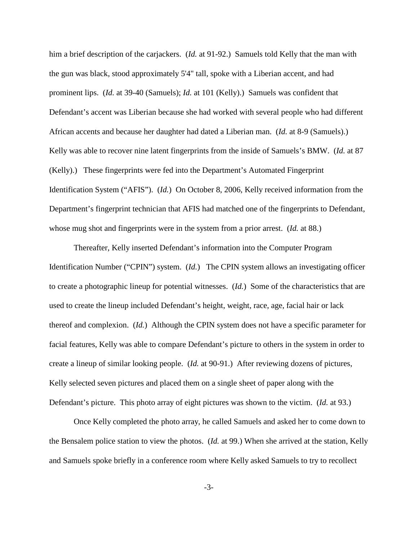him a brief description of the carjackers. (*Id.* at 91-92.) Samuels told Kelly that the man with the gun was black, stood approximately 5'4" tall, spoke with a Liberian accent, and had prominent lips. (*Id.* at 39-40 (Samuels); *Id.* at 101 (Kelly).) Samuels was confident that Defendant's accent was Liberian because she had worked with several people who had different African accents and because her daughter had dated a Liberian man. (*Id.* at 8-9 (Samuels).) Kelly was able to recover nine latent fingerprints from the inside of Samuels's BMW. (*Id.* at 87 (Kelly).) These fingerprints were fed into the Department's Automated Fingerprint Identification System ("AFIS"). (*Id.*) On October 8, 2006, Kelly received information from the Department's fingerprint technician that AFIS had matched one of the fingerprints to Defendant, whose mug shot and fingerprints were in the system from a prior arrest. (*Id.* at 88.)

Thereafter, Kelly inserted Defendant's information into the Computer Program Identification Number ("CPIN") system. (*Id.*) The CPIN system allows an investigating officer to create a photographic lineup for potential witnesses. (*Id.*) Some of the characteristics that are used to create the lineup included Defendant's height, weight, race, age, facial hair or lack thereof and complexion. (*Id.*) Although the CPIN system does not have a specific parameter for facial features, Kelly was able to compare Defendant's picture to others in the system in order to create a lineup of similar looking people. (*Id.* at 90-91.) After reviewing dozens of pictures, Kelly selected seven pictures and placed them on a single sheet of paper along with the Defendant's picture. This photo array of eight pictures was shown to the victim. (*Id.* at 93.)

Once Kelly completed the photo array, he called Samuels and asked her to come down to the Bensalem police station to view the photos. (*Id.* at 99.) When she arrived at the station, Kelly and Samuels spoke briefly in a conference room where Kelly asked Samuels to try to recollect

-3-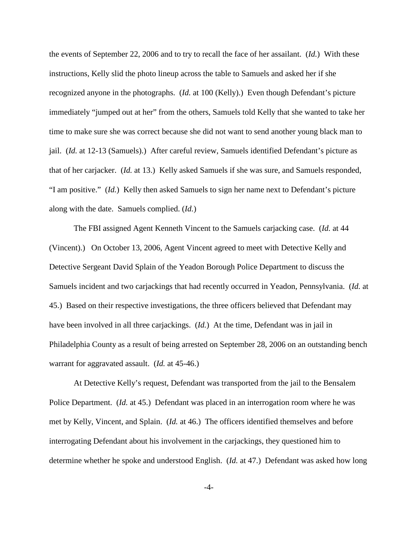the events of September 22, 2006 and to try to recall the face of her assailant. (*Id.*) With these instructions, Kelly slid the photo lineup across the table to Samuels and asked her if she recognized anyone in the photographs. (*Id.* at 100 (Kelly).) Even though Defendant's picture immediately "jumped out at her" from the others, Samuels told Kelly that she wanted to take her time to make sure she was correct because she did not want to send another young black man to jail. (*Id.* at 12-13 (Samuels).) After careful review, Samuels identified Defendant's picture as that of her carjacker. (*Id.* at 13.) Kelly asked Samuels if she was sure, and Samuels responded, "I am positive." (*Id.*) Kelly then asked Samuels to sign her name next to Defendant's picture along with the date. Samuels complied. (*Id.*)

The FBI assigned Agent Kenneth Vincent to the Samuels carjacking case. (*Id.* at 44 (Vincent).) On October 13, 2006, Agent Vincent agreed to meet with Detective Kelly and Detective Sergeant David Splain of the Yeadon Borough Police Department to discuss the Samuels incident and two carjackings that had recently occurred in Yeadon, Pennsylvania. (*Id.* at 45.) Based on their respective investigations, the three officers believed that Defendant may have been involved in all three carjackings. (*Id.*) At the time, Defendant was in jail in Philadelphia County as a result of being arrested on September 28, 2006 on an outstanding bench warrant for aggravated assault. (*Id.* at 45-46.)

At Detective Kelly's request, Defendant was transported from the jail to the Bensalem Police Department. *(Id.* at 45.) Defendant was placed in an interrogation room where he was met by Kelly, Vincent, and Splain. (*Id.* at 46.) The officers identified themselves and before interrogating Defendant about his involvement in the carjackings, they questioned him to determine whether he spoke and understood English. (*Id.* at 47.) Defendant was asked how long

-4-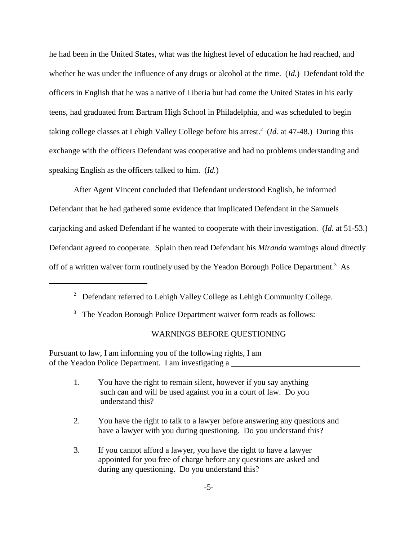he had been in the United States, what was the highest level of education he had reached, and whether he was under the influence of any drugs or alcohol at the time. (*Id.*) Defendant told the officers in English that he was a native of Liberia but had come the United States in his early teens, had graduated from Bartram High School in Philadelphia, and was scheduled to begin taking college classes at Lehigh Valley College before his arrest.<sup>2</sup> (Id. at 47-48.) During this exchange with the officers Defendant was cooperative and had no problems understanding and speaking English as the officers talked to him. (*Id.*)

After Agent Vincent concluded that Defendant understood English, he informed Defendant that he had gathered some evidence that implicated Defendant in the Samuels carjacking and asked Defendant if he wanted to cooperate with their investigation. (*Id.* at 51-53.) Defendant agreed to cooperate. Splain then read Defendant his *Miranda* warnings aloud directly off of a written waiver form routinely used by the Yeadon Borough Police Department.<sup>3</sup> As

# WARNINGS BEFORE QUESTIONING

Pursuant to law, I am informing you of the following rights, I am of the Yeadon Police Department. I am investigating a

- 1. You have the right to remain silent, however if you say anything such can and will be used against you in a court of law. Do you understand this?
- 2. You have the right to talk to a lawyer before answering any questions and have a lawyer with you during questioning. Do you understand this?
- 3. If you cannot afford a lawyer, you have the right to have a lawyer appointed for you free of charge before any questions are asked and during any questioning. Do you understand this?

 $2$  Defendant referred to Lehigh Valley College as Lehigh Community College.

<sup>&</sup>lt;sup>3</sup> The Yeadon Borough Police Department waiver form reads as follows: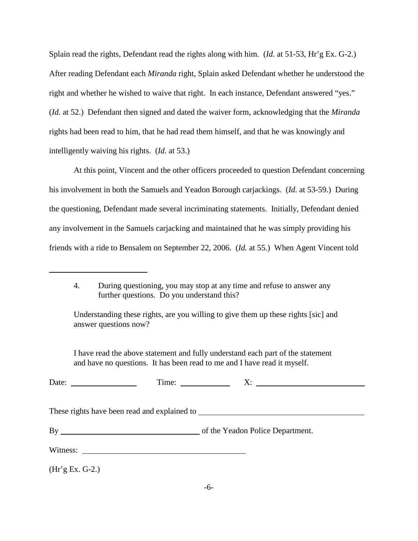Splain read the rights, Defendant read the rights along with him. (*Id.* at 51-53, Hr'g Ex. G-2.) After reading Defendant each *Miranda* right, Splain asked Defendant whether he understood the right and whether he wished to waive that right. In each instance, Defendant answered "yes." (*Id.* at 52.) Defendant then signed and dated the waiver form, acknowledging that the *Miranda* rights had been read to him, that he had read them himself, and that he was knowingly and intelligently waiving his rights. (*Id.* at 53.)

At this point, Vincent and the other officers proceeded to question Defendant concerning his involvement in both the Samuels and Yeadon Borough carjackings. (*Id.* at 53-59.) During the questioning, Defendant made several incriminating statements. Initially, Defendant denied any involvement in the Samuels carjacking and maintained that he was simply providing his friends with a ride to Bensalem on September 22, 2006. (*Id.* at 55.) When Agent Vincent told

Understanding these rights, are you willing to give them up these rights [sic] and answer questions now?

I have read the above statement and fully understand each part of the statement and have no questions. It has been read to me and I have read it myself.

| Date: $\frac{1}{\sqrt{1-\frac{1}{2}} \cdot \frac{1}{2}}$ |  |
|----------------------------------------------------------|--|
|                                                          |  |
|                                                          |  |
|                                                          |  |
| $(Hr'g Ex. G-2.)$                                        |  |

-6-

<sup>4.</sup> During questioning, you may stop at any time and refuse to answer any further questions. Do you understand this?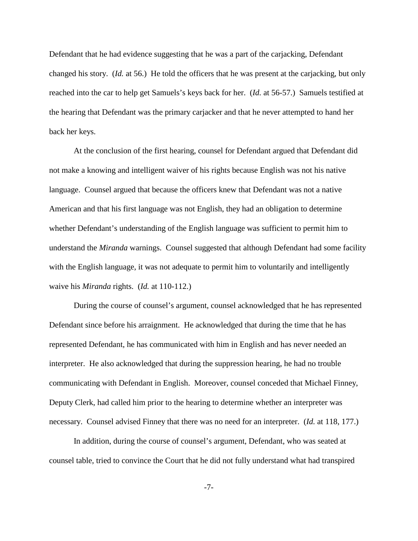Defendant that he had evidence suggesting that he was a part of the carjacking, Defendant changed his story. (*Id.* at 56.) He told the officers that he was present at the carjacking, but only reached into the car to help get Samuels's keys back for her. (*Id.* at 56-57.) Samuels testified at the hearing that Defendant was the primary carjacker and that he never attempted to hand her back her keys.

At the conclusion of the first hearing, counsel for Defendant argued that Defendant did not make a knowing and intelligent waiver of his rights because English was not his native language. Counsel argued that because the officers knew that Defendant was not a native American and that his first language was not English, they had an obligation to determine whether Defendant's understanding of the English language was sufficient to permit him to understand the *Miranda* warnings. Counsel suggested that although Defendant had some facility with the English language, it was not adequate to permit him to voluntarily and intelligently waive his *Miranda* rights. (*Id.* at 110-112.)

During the course of counsel's argument, counsel acknowledged that he has represented Defendant since before his arraignment. He acknowledged that during the time that he has represented Defendant, he has communicated with him in English and has never needed an interpreter. He also acknowledged that during the suppression hearing, he had no trouble communicating with Defendant in English. Moreover, counsel conceded that Michael Finney, Deputy Clerk, had called him prior to the hearing to determine whether an interpreter was necessary. Counsel advised Finney that there was no need for an interpreter. (*Id.* at 118, 177.)

In addition, during the course of counsel's argument, Defendant, who was seated at counsel table, tried to convince the Court that he did not fully understand what had transpired

-7-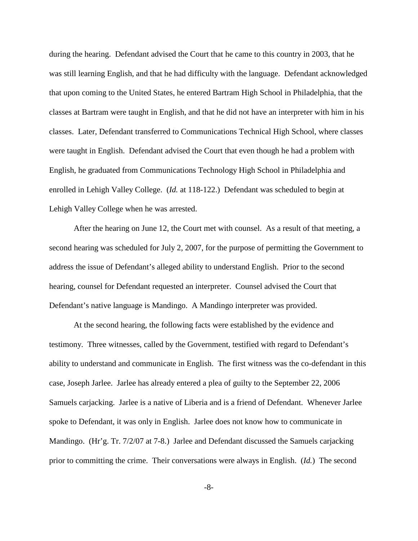during the hearing. Defendant advised the Court that he came to this country in 2003, that he was still learning English, and that he had difficulty with the language. Defendant acknowledged that upon coming to the United States, he entered Bartram High School in Philadelphia, that the classes at Bartram were taught in English, and that he did not have an interpreter with him in his classes. Later, Defendant transferred to Communications Technical High School, where classes were taught in English. Defendant advised the Court that even though he had a problem with English, he graduated from Communications Technology High School in Philadelphia and enrolled in Lehigh Valley College. (*Id.* at 118-122.) Defendant was scheduled to begin at Lehigh Valley College when he was arrested.

After the hearing on June 12, the Court met with counsel. As a result of that meeting, a second hearing was scheduled for July 2, 2007, for the purpose of permitting the Government to address the issue of Defendant's alleged ability to understand English. Prior to the second hearing, counsel for Defendant requested an interpreter. Counsel advised the Court that Defendant's native language is Mandingo. A Mandingo interpreter was provided.

At the second hearing, the following facts were established by the evidence and testimony. Three witnesses, called by the Government, testified with regard to Defendant's ability to understand and communicate in English. The first witness was the co-defendant in this case, Joseph Jarlee. Jarlee has already entered a plea of guilty to the September 22, 2006 Samuels carjacking. Jarlee is a native of Liberia and is a friend of Defendant. Whenever Jarlee spoke to Defendant, it was only in English. Jarlee does not know how to communicate in Mandingo. (Hr'g. Tr. 7/2/07 at 7-8.) Jarlee and Defendant discussed the Samuels carjacking prior to committing the crime. Their conversations were always in English. (*Id.*) The second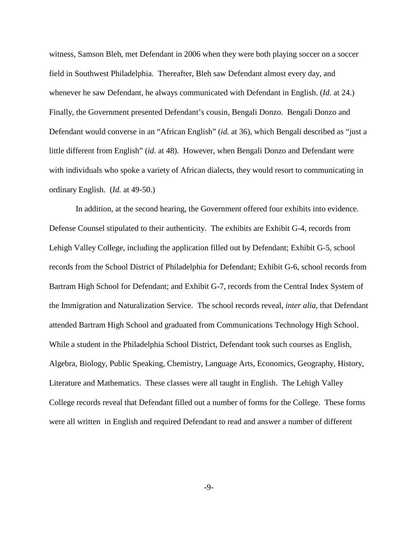witness, Samson Bleh, met Defendant in 2006 when they were both playing soccer on a soccer field in Southwest Philadelphia. Thereafter, Bleh saw Defendant almost every day, and whenever he saw Defendant, he always communicated with Defendant in English. (*Id.* at 24.) Finally, the Government presented Defendant's cousin, Bengali Donzo. Bengali Donzo and Defendant would converse in an "African English" (*id.* at 36), which Bengali described as "just a little different from English" (*id.* at 48). However, when Bengali Donzo and Defendant were with individuals who spoke a variety of African dialects, they would resort to communicating in ordinary English. (*Id.* at 49-50.)

 In addition, at the second hearing, the Government offered four exhibits into evidence. Defense Counsel stipulated to their authenticity. The exhibits are Exhibit G-4, records from Lehigh Valley College, including the application filled out by Defendant; Exhibit G-5, school records from the School District of Philadelphia for Defendant; Exhibit G-6, school records from Bartram High School for Defendant; and Exhibit G-7, records from the Central Index System of the Immigration and Naturalization Service. The school records reveal, *inter alia*, that Defendant attended Bartram High School and graduated from Communications Technology High School. While a student in the Philadelphia School District, Defendant took such courses as English, Algebra, Biology, Public Speaking, Chemistry, Language Arts, Economics, Geography, History, Literature and Mathematics. These classes were all taught in English. The Lehigh Valley College records reveal that Defendant filled out a number of forms for the College. These forms were all written in English and required Defendant to read and answer a number of different

-9-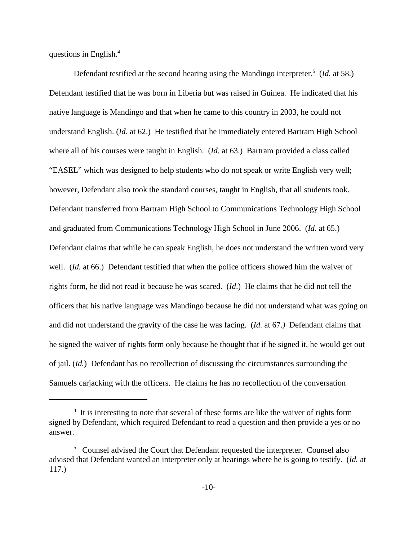questions in English.4

Defendant testified at the second hearing using the Mandingo interpreter.<sup>5</sup> (*Id.* at 58.) Defendant testified that he was born in Liberia but was raised in Guinea. He indicated that his native language is Mandingo and that when he came to this country in 2003, he could not understand English. (*Id.* at 62.) He testified that he immediately entered Bartram High School where all of his courses were taught in English. (*Id.* at 63.) Bartram provided a class called "EASEL" which was designed to help students who do not speak or write English very well; however, Defendant also took the standard courses, taught in English, that all students took. Defendant transferred from Bartram High School to Communications Technology High School and graduated from Communications Technology High School in June 2006. (*Id*. at 65.) Defendant claims that while he can speak English, he does not understand the written word very well. (*Id.* at 66.) Defendant testified that when the police officers showed him the waiver of rights form, he did not read it because he was scared. (*Id*.) He claims that he did not tell the officers that his native language was Mandingo because he did not understand what was going on and did not understand the gravity of the case he was facing. (*Id.* at 67.*)* Defendant claims that he signed the waiver of rights form only because he thought that if he signed it, he would get out of jail. (*Id.*) Defendant has no recollection of discussing the circumstances surrounding the Samuels carjacking with the officers. He claims he has no recollection of the conversation

<sup>&</sup>lt;sup>4</sup> It is interesting to note that several of these forms are like the waiver of rights form signed by Defendant, which required Defendant to read a question and then provide a yes or no answer.

<sup>&</sup>lt;sup>5</sup> Counsel advised the Court that Defendant requested the interpreter. Counsel also advised that Defendant wanted an interpreter only at hearings where he is going to testify. (*Id.* at 117.)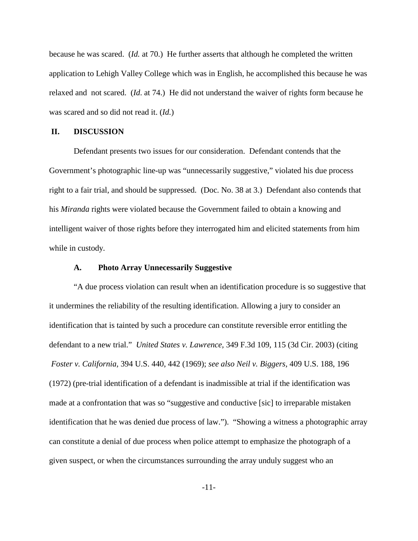because he was scared. (*Id.* at 70.) He further asserts that although he completed the written application to Lehigh Valley College which was in English, he accomplished this because he was relaxed and not scared. (*Id*. at 74.) He did not understand the waiver of rights form because he was scared and so did not read it. (*Id.*)

### **II. DISCUSSION**

Defendant presents two issues for our consideration. Defendant contends that the Government's photographic line-up was "unnecessarily suggestive," violated his due process right to a fair trial, and should be suppressed. (Doc. No. 38 at 3.) Defendant also contends that his *Miranda* rights were violated because the Government failed to obtain a knowing and intelligent waiver of those rights before they interrogated him and elicited statements from him while in custody.

#### **A. Photo Array Unnecessarily Suggestive**

"A due process violation can result when an identification procedure is so suggestive that it undermines the reliability of the resulting identification. Allowing a jury to consider an identification that is tainted by such a procedure can constitute reversible error entitling the defendant to a new trial." *United States v. Lawrence,* 349 F.3d 109, 115 (3d Cir. 2003) (citing *Foster v. California,* 394 U.S. 440, 442 (1969); *see also Neil v. Biggers,* 409 U.S. 188, 196 (1972) (pre-trial identification of a defendant is inadmissible at trial if the identification was made at a confrontation that was so "suggestive and conductive [sic] to irreparable mistaken identification that he was denied due process of law."). "Showing a witness a photographic array can constitute a denial of due process when police attempt to emphasize the photograph of a given suspect, or when the circumstances surrounding the array unduly suggest who an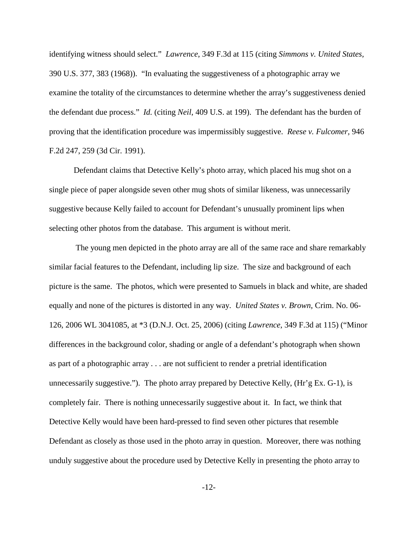identifying witness should select." *Lawrence*, 349 F.3d at 115 (citing *Simmons v. United States,* 390 U.S. 377, 383 (1968)). "In evaluating the suggestiveness of a photographic array we examine the totality of the circumstances to determine whether the array's suggestiveness denied the defendant due process." *Id.* (citing *Neil*, 409 U.S. at 199). The defendant has the burden of proving that the identification procedure was impermissibly suggestive. *Reese v. Fulcomer,* 946 F.2d 247, 259 (3d Cir. 1991).

Defendant claims that Detective Kelly's photo array, which placed his mug shot on a single piece of paper alongside seven other mug shots of similar likeness, was unnecessarily suggestive because Kelly failed to account for Defendant's unusually prominent lips when selecting other photos from the database. This argument is without merit.

 The young men depicted in the photo array are all of the same race and share remarkably similar facial features to the Defendant, including lip size. The size and background of each picture is the same. The photos, which were presented to Samuels in black and white, are shaded equally and none of the pictures is distorted in any way. *United States v. Brown*, Crim. No. 06- 126, 2006 WL 3041085, at \*3 (D.N.J. Oct. 25, 2006) (citing *Lawrence*, 349 F.3d at 115) ("Minor differences in the background color, shading or angle of a defendant's photograph when shown as part of a photographic array . . . are not sufficient to render a pretrial identification unnecessarily suggestive."). The photo array prepared by Detective Kelly, (Hr'g Ex. G-1), is completely fair. There is nothing unnecessarily suggestive about it. In fact, we think that Detective Kelly would have been hard-pressed to find seven other pictures that resemble Defendant as closely as those used in the photo array in question. Moreover, there was nothing unduly suggestive about the procedure used by Detective Kelly in presenting the photo array to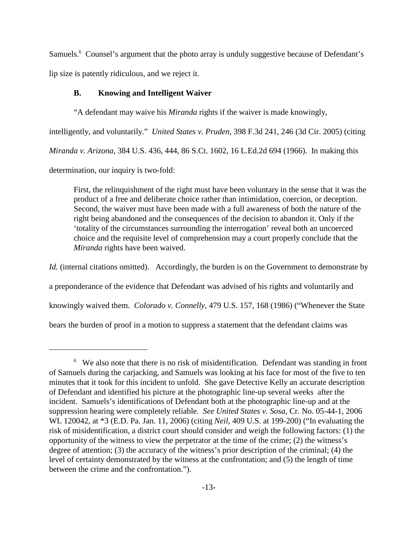Samuels.<sup>6</sup> Counsel's argument that the photo array is unduly suggestive because of Defendant's lip size is patently ridiculous, and we reject it.

# **B. Knowing and Intelligent Waiver**

"A defendant may waive his *Miranda* rights if the waiver is made knowingly,

intelligently, and voluntarily." *United States v. Pruden,* 398 F.3d 241, 246 (3d Cir. 2005) (citing

*Miranda v. Arizona,* 384 U.S. 436, 444, 86 S.Ct. 1602, 16 L.Ed.2d 694 (1966). In making this

determination, our inquiry is two-fold:

First, the relinquishment of the right must have been voluntary in the sense that it was the product of a free and deliberate choice rather than intimidation, coercion, or deception. Second, the waiver must have been made with a full awareness of both the nature of the right being abandoned and the consequences of the decision to abandon it. Only if the 'totality of the circumstances surrounding the interrogation' reveal both an uncoerced choice and the requisite level of comprehension may a court properly conclude that the *Miranda* rights have been waived.

*Id.* (internal citations omitted). Accordingly, the burden is on the Government to demonstrate by a preponderance of the evidence that Defendant was advised of his rights and voluntarily and knowingly waived them. *Colorado v. Connelly,* 479 U.S. 157, 168 (1986) ("Whenever the State bears the burden of proof in a motion to suppress a statement that the defendant claims was

<sup>&</sup>lt;sup>6</sup> We also note that there is no risk of misidentification. Defendant was standing in front of Samuels during the carjacking, and Samuels was looking at his face for most of the five to ten minutes that it took for this incident to unfold. She gave Detective Kelly an accurate description of Defendant and identified his picture at the photographic line-up several weeks after the incident. Samuels's identifications of Defendant both at the photographic line-up and at the suppression hearing were completely reliable. *See United States v. Sosa,* Cr. No. 05-44-1, 2006 WL 120042, at \*3 (E.D. Pa. Jan. 11, 2006) (citing *Neil*, 409 U.S. at 199-200) ("In evaluating the risk of misidentification, a district court should consider and weigh the following factors: (1) the opportunity of the witness to view the perpetrator at the time of the crime; (2) the witness's degree of attention; (3) the accuracy of the witness's prior description of the criminal; (4) the level of certainty demonstrated by the witness at the confrontation; and (5) the length of time between the crime and the confrontation.").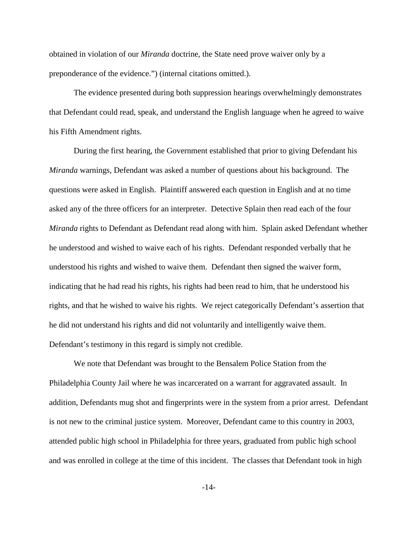obtained in violation of our *Miranda* doctrine, the State need prove waiver only by a preponderance of the evidence.") (internal citations omitted.).

The evidence presented during both suppression hearings overwhelmingly demonstrates that Defendant could read, speak, and understand the English language when he agreed to waive his Fifth Amendment rights.

During the first hearing, the Government established that prior to giving Defendant his *Miranda* warnings, Defendant was asked a number of questions about his background. The questions were asked in English. Plaintiff answered each question in English and at no time asked any of the three officers for an interpreter. Detective Splain then read each of the four *Miranda* rights to Defendant as Defendant read along with him. Splain asked Defendant whether he understood and wished to waive each of his rights. Defendant responded verbally that he understood his rights and wished to waive them. Defendant then signed the waiver form, indicating that he had read his rights, his rights had been read to him, that he understood his rights, and that he wished to waive his rights. We reject categorically Defendant's assertion that he did not understand his rights and did not voluntarily and intelligently waive them. Defendant's testimony in this regard is simply not credible.

We note that Defendant was brought to the Bensalem Police Station from the Philadelphia County Jail where he was incarcerated on a warrant for aggravated assault. In addition, Defendants mug shot and fingerprints were in the system from a prior arrest. Defendant is not new to the criminal justice system. Moreover, Defendant came to this country in 2003, attended public high school in Philadelphia for three years, graduated from public high school and was enrolled in college at the time of this incident. The classes that Defendant took in high

-14-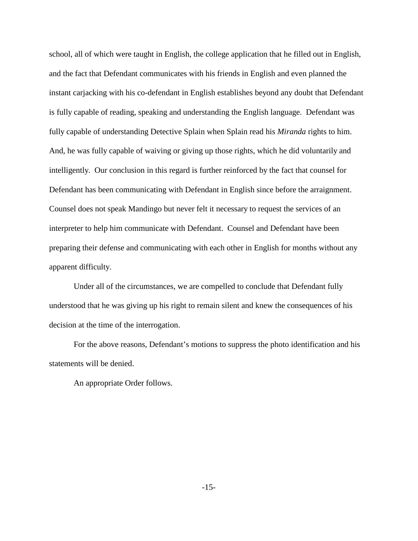school, all of which were taught in English, the college application that he filled out in English, and the fact that Defendant communicates with his friends in English and even planned the instant carjacking with his co-defendant in English establishes beyond any doubt that Defendant is fully capable of reading, speaking and understanding the English language. Defendant was fully capable of understanding Detective Splain when Splain read his *Miranda* rights to him. And, he was fully capable of waiving or giving up those rights, which he did voluntarily and intelligently. Our conclusion in this regard is further reinforced by the fact that counsel for Defendant has been communicating with Defendant in English since before the arraignment. Counsel does not speak Mandingo but never felt it necessary to request the services of an interpreter to help him communicate with Defendant. Counsel and Defendant have been preparing their defense and communicating with each other in English for months without any apparent difficulty.

Under all of the circumstances, we are compelled to conclude that Defendant fully understood that he was giving up his right to remain silent and knew the consequences of his decision at the time of the interrogation.

For the above reasons, Defendant's motions to suppress the photo identification and his statements will be denied.

An appropriate Order follows.